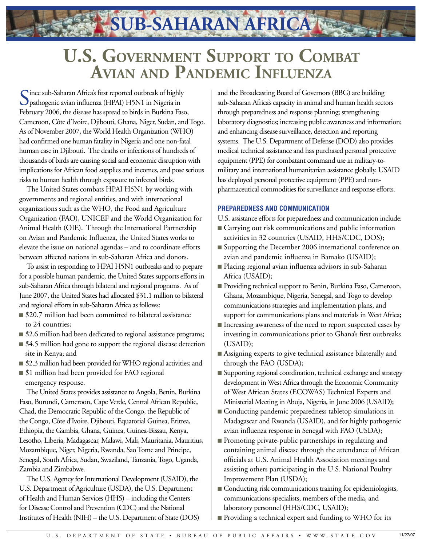**U.S. Government Support to Combat Avian and Pandemic Influenza**

**SUB-SAHARAN AFRICA**

Cince sub-Saharan Africa's first reported outbreak of highly pathogenic avian influenza (HPAI) H5N1 in Nigeria in February 2006, the disease has spread to birds in Burkina Faso, Cameroon, Côte d'Ivoire, Djibouti, Ghana, Niger, Sudan, and Togo. As of November 2007, the World Health Organization (WHO) had confirmed one human fatality in Nigeria and one non-fatal human case in Djibouti. The deaths or infections of hundreds of thousands of birds are causing social and economic disruption with implications for African food supplies and incomes, and pose serious risks to human health through exposure to infected birds.

The United States combats HPAI H5N1 by working with governments and regional entities, and with international organizations such as the WHO, the Food and Agriculture Organization (FAO), UNICEF and the World Organization for Animal Health (OIE). Through the International Partnership on Avian and Pandemic Influenza, the United States works to elevate the issue on national agendas – and to coordinate efforts between affected nations in sub-Saharan Africa and donors.

To assist in responding to HPAI H5N1 outbreaks and to prepare for a possible human pandemic, the United States supports efforts in sub-Saharan Africa through bilateral and regional programs. As of June 2007, the United States had allocated \$31.1 million to bilateral and regional efforts in sub-Saharan Africa as follows:

- \$20.7 million had been committed to bilateral assistance to 24 countries;
- \$2.6 million had been dedicated to regional assistance programs;
- \$4.5 million had gone to support the regional disease detection site in Kenya; and
- \$2.3 million had been provided for WHO regional activities; and
- \$1 million had been provided for FAO regional emergency response.

The United States provides assistance to Angola, Benin, Burkina Faso, Burundi, Cameroon, Cape Verde, Central African Republic, Chad, the Democratic Republic of the Congo, the Republic of the Congo, Côte d'Ivoire, Djibouti, Equatorial Guinea, Eritrea, Ethiopia, the Gambia, Ghana, Guinea, Guinea-Bissau, Kenya, Lesotho, Liberia, Madagascar, Malawi, Mali, Mauritania, Mauritius, Mozambique, Niger, Nigeria, Rwanda, Sao Tome and Principe, Senegal, South Africa, Sudan, Swaziland, Tanzania, Togo, Uganda, Zambia and Zimbabwe.

The U.S. Agency for International Development (USAID), the U.S. Department of Agriculture (USDA), the U.S. Department of Health and Human Services (HHS) – including the Centers for Disease Control and Prevention (CDC) and the National Institutes of Health (NIH) – the U.S. Department of State (DOS) and the Broadcasting Board of Governors (BBG) are building sub-Saharan Africa's capacity in animal and human health sectors through preparedness and response planning; strengthening laboratory diagnostics; increasing public awareness and information; and enhancing disease surveillance, detection and reporting systems. The U.S. Department of Defense (DOD) also provides medical technical assistance and has purchased personal protective equipment (PPE) for combatant command use in military-tomilitary and international humanitarian assistance globally. USAID has deployed personal protective equipment (PPE) and nonpharmaceutical commodities for surveillance and response efforts.

## **PREPAREDNESS AND COMMUNICATION**

U.S. assistance efforts for preparedness and communication include:

- Carrying out risk communications and public information activities in 32 countries (USAID, HHS/CDC, DOS);
- Supporting the December 2006 international conference on avian and pandemic influenza in Bamako (USAID);
- Placing regional avian influenza advisors in sub-Saharan Africa (USAID);
- Providing technical support to Benin, Burkina Faso, Cameroon, Ghana, Mozambique, Nigeria, Senegal, and Togo to develop communications strategies and implementation plans, and support for communications plans and materials in West Africa;
- Increasing awareness of the need to report suspected cases by investing in communications prior to Ghana's first outbreaks (USAID);
- Assigning experts to give technical assistance bilaterally and through the FAO (USDA);
- Supporting regional coordination, technical exchange and strategy development in West Africa through the Economic Community of West African States (ECOWAS) Technical Experts and Ministerial Meeting in Abuja, Nigeria, in June 2006 (USAID);
- Conducting pandemic preparedness tabletop simulations in Madagascar and Rwanda (USAID), and for highly pathogenic avian influenza response in Senegal with FAO (USDA);
- Promoting private-public partnerships in regulating and containing animal disease through the attendance of African officials at U.S. Animal Health Association meetings and assisting others participating in the U.S. National Poultry Improvement Plan (USDA);
- Conducting risk communications training for epidemiologists, communications specialists, members of the media, and laboratory personnel (HHS/CDC, USAID);
- Providing a technical expert and funding to WHO for its